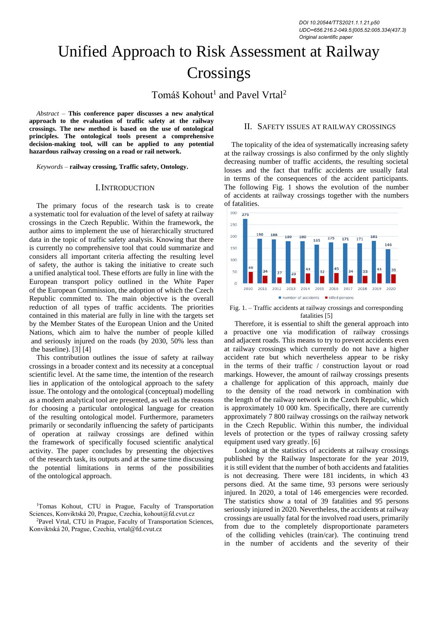# Unified Approach to Risk Assessment at Railway **Crossings**

Tomáš Kohout<sup>1</sup> and Pavel Vrtal<sup>2</sup>

*Abstract –* **This conference paper discusses a new analytical approach to the evaluation of traffic safety at the railway crossings. The new method is based on the use of ontological principles. The ontological tools present a comprehensive decision-making tool, will can be applied to any potential hazardous railway crossing on a road or rail network.** 

*Keywords –* **railway crossing, Traffic safety, Ontology.**

#### I.INTRODUCTION

The primary focus of the research task is to create a systematic tool for evaluation of the level of safety at railway crossings in the Czech Republic. Within the framework, the author aims to implement the use of hierarchically structured data in the topic of traffic safety analysis. Knowing that there is currently no comprehensive tool that could summarize and considers all important criteria affecting the resulting level of safety, the author is taking the initiative to create such a unified analytical tool. These efforts are fully in line with the European transport policy outlined in the White Paper of the European Commission, the adoption of which the Czech Republic committed to. The main objective is the overall reduction of all types of traffic accidents. The priorities contained in this material are fully in line with the targets set by the Member States of the European Union and the United Nations, which aim to halve the number of people killed and seriously injured on the roads (by 2030, 50% less than the baseline). [\[3\]](#page-3-0) [\[4\]](#page-3-1)

This contribution outlines the issue of safety at railway crossings in a broader context and its necessity at a conceptual scientific level. At the same time, the intention of the research lies in application of the ontological approach to the safety issue. The ontology and the ontological (conceptual) modelling as a modern analytical tool are presented, as well as the reasons for choosing a particular ontological language for creation of the resulting ontological model. Furthermore, parameters primarily or secondarily influencing the safety of participants of operation at railway crossings are defined within the framework of specifically focused scientific analytical activity. The paper concludes by presenting the objectives of the research task, its outputs and at the same time discussing the potential limitations in terms of the possibilities of the ontological approach.

<sup>2</sup>Pavel Vrtal, CTU in Prague, Faculty of Transportation Sciences, Konviktská 20, Prague, Czechia, vrtal@fd.cvut.cz

# II. SAFETY ISSUES AT RAILWAY CROSSINGS

The topicality of the idea of systematically increasing safety at the railway crossings is also confirmed by the only slightly decreasing number of traffic accidents, the resulting societal losses and the fact that traffic accidents are usually fatal in terms of the consequences of the accident participants. The following Fig. 1 shows the evolution of the number of accidents at railway crossings together with the numbers of fatalities.



Fig. 1. – Traffic accidents at railway crossings and corresponding fatalities [\[5\]](#page-3-2)

Therefore, it is essential to shift the general approach into a proactive one via modification of railway crossings and adjacent roads. This means to try to prevent accidents even at railway crossings which currently do not have a higher accident rate but which nevertheless appear to be risky in the terms of their traffic / construction layout or road markings. However, the amount of railway crossings presents a challenge for application of this approach, mainly due to the density of the road network in combination with the length of the railway network in the Czech Republic, which is approximately 10 000 km. Specifically, there are currently approximately 7 800 railway crossings on the railway network in the Czech Republic. Within this number, the individual levels of protection or the types of railway crossing safety equipment used vary greatly. [\[6\]](#page-3-3)

Looking at the statistics of accidents at railway crossings published by the Railway Inspectorate for the year 2019, it is still evident that the number of both accidents and fatalities is not decreasing. There were 181 incidents, in which 43 persons died. At the same time, 93 persons were seriously injured. In 2020, a total of 146 emergencies were recorded. The statistics show a total of 39 fatalities and 95 persons seriously injured in 2020. Nevertheless, the accidents at railway crossings are usually fatal for the involved road users, primarily from due to the completely disproportionate parameters of the colliding vehicles (train/car). The continuing trend in the number of accidents and the severity of their

<sup>1</sup>Tomas Kohout, CTU in Prague, Faculty of Transportation Sciences, Konviktská 20, Prague, Czechia, kohout@fd.cvut.cz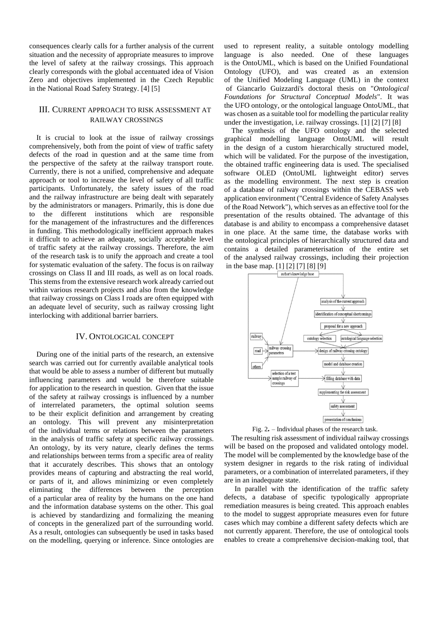consequences clearly calls for a further analysis of the current situation and the necessity of appropriate measures to improve the level of safety at the railway crossings. This approach clearly corresponds with the global accentuated idea of Vision Zero and objectives implemented in the Czech Republic in the National Road Safety Strategy. [\[4\]](#page-3-1) [\[5\]](#page-3-2)

# III. CURRENT APPROACH TO RISK ASSESSMENT AT RAILWAY CROSSINGS

It is crucial to look at the issue of railway crossings comprehensively, both from the point of view of traffic safety defects of the road in question and at the same time from the perspective of the safety at the railway transport route. Currently, there is not a unified, comprehensive and adequate approach or tool to increase the level of safety of all traffic participants. Unfortunately, the safety issues of the road and the railway infrastructure are being dealt with separately by the administrators or managers. Primarily, this is done due to the different institutions which are responsible for the management of the infrastructures and the differences in funding. This methodologically inefficient approach makes it difficult to achieve an adequate, socially acceptable level of traffic safety at the railway crossings. Therefore, the aim of the research task is to unify the approach and create a tool for systematic evaluation of the safety. The focus is on railway crossings on Class II and III roads, as well as on local roads. This stems from the extensive research work already carried out within various research projects and also from the knowledge that railway crossings on Class I roads are often equipped with an adequate level of security, such as railway crossing light interlocking with additional barrier barriers.

## IV. ONTOLOGICAL CONCEPT

During one of the initial parts of the research, an extensive search was carried out for currently available analytical tools that would be able to assess a number of different but mutually influencing parameters and would be therefore suitable for application to the research in question. Given that the issue of the safety at railway crossings is influenced by a number of interrelated parameters, the optimal solution seems to be their explicit definition and arrangement by creating an ontology. This will prevent any misinterpretation of the individual terms or relations between the parameters in the analysis of traffic safety at specific railway crossings. An ontology, by its very nature, clearly defines the terms and relationships between terms from a specific area of reality that it accurately describes. This shows that an ontology provides means of capturing and abstracting the real world, or parts of it, and allows minimizing or even completely eliminating the differences between the perception of a particular area of reality by the humans on the one hand and the information database systems on the other. This goal is achieved by standardizing and formalizing the meaning of concepts in the generalized part of the surrounding world. As a result, ontologies can subsequently be used in tasks based on the modelling, querying or inference. Since ontologies are

used to represent reality, a suitable ontology modelling language is also needed. One of these languages is the OntoUML, which is based on the Unified Foundational Ontology (UFO), and was created as an extension of the Unified Modeling Language (UML) in the context of Giancarlo Guizzardi's doctoral thesis on "*Ontological Foundations for Structural Conceptual Models*". It was the UFO ontology, or the ontological language OntoUML, that was chosen as a suitable tool for modelling the particular reality under the investigation, i.e. railway crossings. [\[1\]](#page-3-4) [\[2\]](#page-3-5) [\[7\]](#page-3-6) [\[8\]](#page-3-7)

The synthesis of the UFO ontology and the selected graphical modelling language OntoUML will result in the design of a custom hierarchically structured model, which will be validated. For the purpose of the investigation, the obtained traffic engineering data is used. The specialised software OLED (OntoUML lightweight editor) serves as the modelling environment. The next step is creation of a database of railway crossings within the CEBASS web application environment ("Central Evidence of Safety Analyses of the Road Network"), which serves as an effective tool for the presentation of the results obtained. The advantage of this database is and ability to encompass a comprehensive dataset in one place. At the same time, the database works with the ontological principles of hierarchically structured data and contains a detailed parameterisation of the entire set of the analysed railway crossings, including their projection in the base map. [\[1\]](#page-3-4) [\[2\]](#page-3-5) [\[7\]](#page-3-6) [\[8\]](#page-3-7) [\[9\]](#page-3-8)



Fig. 2*.* – Individual phases of the research task.

The resulting risk assessment of individual railway crossings will be based on the proposed and validated ontology model. The model will be complemented by the knowledge base of the system designer in regards to the risk rating of individual parameters, or a combination of interrelated parameters, if they are in an inadequate state.

In parallel with the identification of the traffic safety defects, a database of specific typologically appropriate remediation measures is being created. This approach enables to the model to suggest appropriate measures even for future cases which may combine a different safety defects which are not currently apparent. Therefore, the use of ontological tools enables to create a comprehensive decision-making tool, that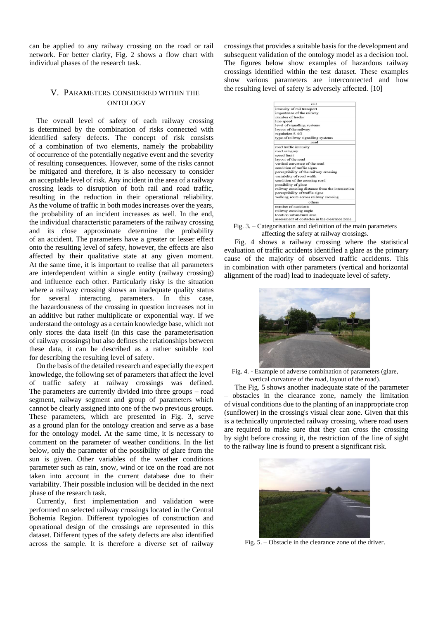can be applied to any railway crossing on the road or rail network. For better clarity, Fig. 2 shows a flow chart with individual phases of the research task.

# V. PARAMETERS CONSIDERED WITHIN THE **ONTOLOGY**

The overall level of safety of each railway crossing is determined by the combination of risks connected with identified safety defects. The concept of risk consists of a combination of two elements, namely the probability of occurrence of the potentially negative event and the severity of resulting consequences. However, some of the risks cannot be mitigated and therefore, it is also necessary to consider an acceptable level of risk. Any incident in the area of a railway crossing leads to disruption of both rail and road traffic, resulting in the reduction in their operational reliability. As the volume of traffic in both modes increases over the years, the probability of an incident increases as well. In the end, the individual characteristic parameters of the railway crossing and its close approximate determine the probability of an accident. The parameters have a greater or lesser effect onto the resulting level of safety, however, the effects are also affected by their qualitative state at any given moment. At the same time, it is important to realise that all parameters are interdependent within a single entity (railway crossing) and influence each other. Particularly risky is the situation where a railway crossing shows an inadequate quality status for several interacting parameters. In this case, the hazardousness of the crossing in question increases not in an additive but rather multiplicate or exponential way. If we understand the ontology as a certain knowledge base, which not only stores the data itself (in this case the parameterisation of railway crossings) but also defines the relationships between these data, it can be described as a rather suitable tool for describing the resulting level of safety.

On the basis of the detailed research and especially the expert knowledge, the following set of parameters that affect the level of traffic safety at railway crossings was defined. The parameters are currently divided into three groups – road segment, railway segment and group of parameters which cannot be clearly assigned into one of the two previous groups. These parameters, which are presented in Fig. 3, serve as a ground plan for the ontology creation and serve as a base for the ontology model. At the same time, it is necessary to comment on the parameter of weather conditions. In the list below, only the parameter of the possibility of glare from the sun is given. Other variables of the weather conditions parameter such as rain, snow, wind or ice on the road are not taken into account in the current database due to their variability. Their possible inclusion will be decided in the next phase of the research task.

Currently, first implementation and validation were performed on selected railway crossings located in the Central Bohemia Region. Different typologies of construction and operational design of the crossings are represented in this dataset. Different types of the safety defects are also identified across the sample. It is therefore a diverse set of railway

crossings that provides a suitable basis for the development and subsequent validation of the ontology model as a decision tool. The figures below show examples of hazardous railway crossings identified within the test dataset. These examples show various parameters are interconnected and how the resulting level of safety is adversely affected. [\[10\]](#page-3-9)



Fig. 3. – Categorisation and definition of the main parameters affecting the safety at railway crossings.

Fig. 4 shows a railway crossing where the statistical evaluation of traffic accidents identified a glare as the primary cause of the majority of observed traffic accidents. This in combination with other parameters (vertical and horizontal alignment of the road) lead to inadequate level of safety.



Fig. 4. - Example of adverse combination of parameters (glare, vertical curvature of the road, layout of the road).

The Fig. 5 shows another inadequate state of the parameter – obstacles in the clearance zone, namely the limitation of visual conditions due to the planting of an inappropriate crop (sunflower) in the crossing's visual clear zone. Given that this is a technically unprotected railway crossing, where road users are required to make sure that they can cross the crossing by sight before crossing it, the restriction of the line of sight to the railway line is found to present a significant risk.



Fig. 5. – Obstacle in the clearance zone of the driver.